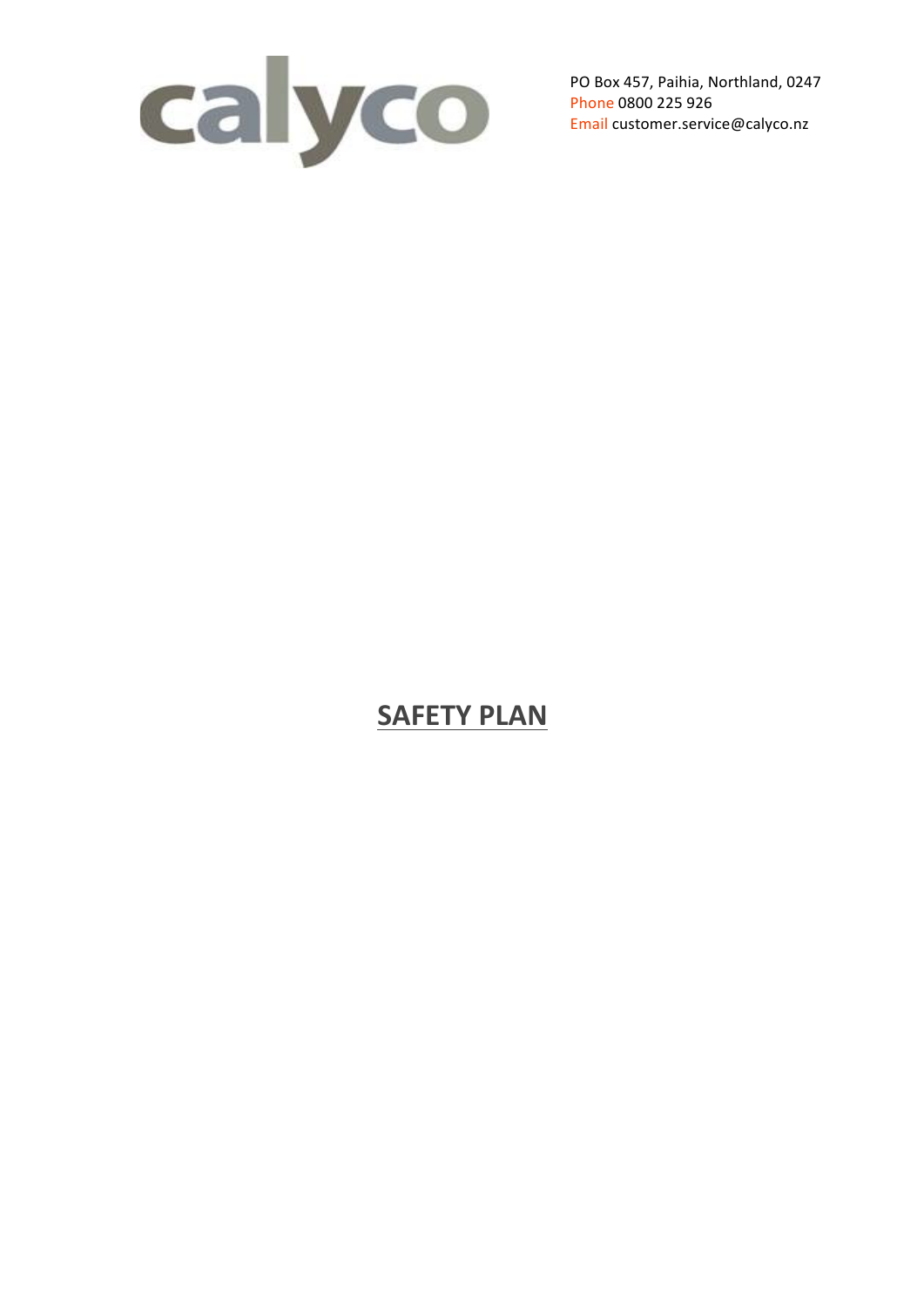

PO Box 457, Paihia, Northland, 0247 Phone 0800 225 926 Email customer.service@calyco.nz

# **SAFETY PLAN**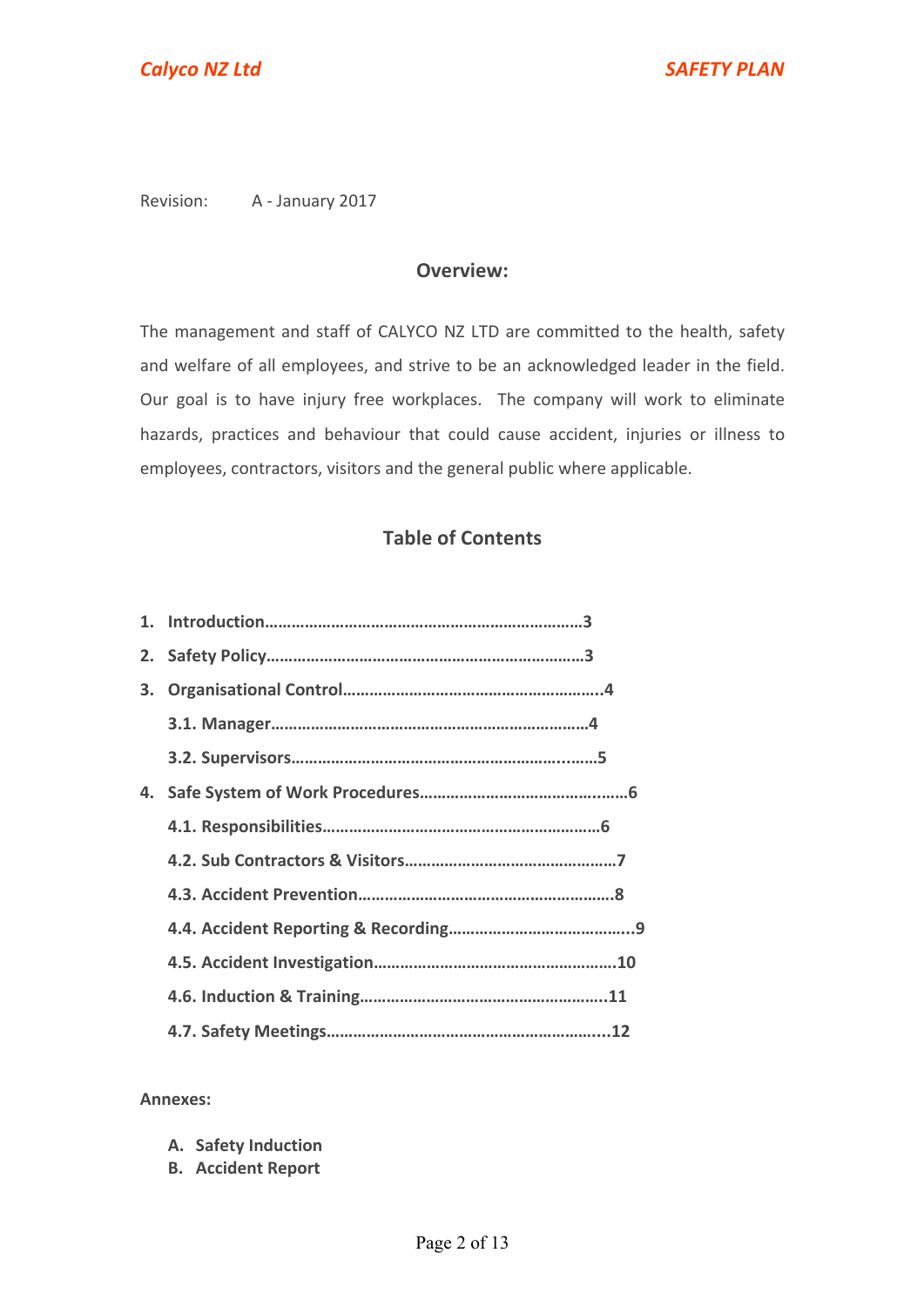Revision: A - January 2017

## **Overview:**

The management and staff of CALYCO NZ LTD are committed to the health, safety and welfare of all employees, and strive to be an acknowledged leader in the field. Our goal is to have injury free workplaces. The company will work to eliminate hazards, practices and behaviour that could cause accident, injuries or illness to employees, contractors, visitors and the general public where applicable.

# **Table of Contents**

| 3. |  |
|----|--|
|    |  |
|    |  |
| 4. |  |
|    |  |
|    |  |
|    |  |
|    |  |
|    |  |
|    |  |
|    |  |

#### **Annexes:**

- **A. Safety Induction**
- **B. Accident Report**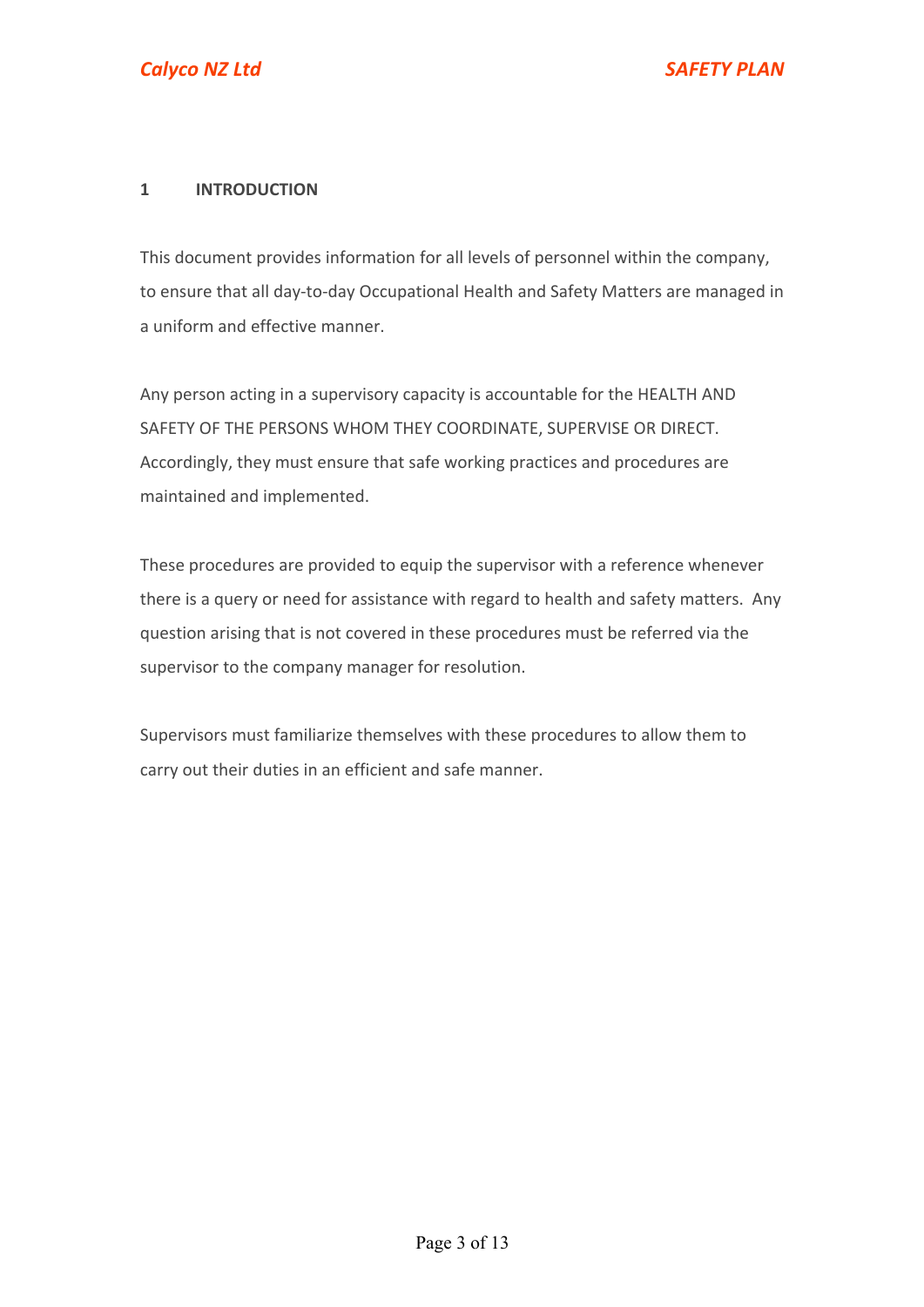## **1 INTRODUCTION**

This document provides information for all levels of personnel within the company, to ensure that all day-to-day Occupational Health and Safety Matters are managed in a uniform and effective manner.

Any person acting in a supervisory capacity is accountable for the HEALTH AND SAFETY OF THE PERSONS WHOM THEY COORDINATE, SUPERVISE OR DIRECT. Accordingly, they must ensure that safe working practices and procedures are maintained and implemented.

These procedures are provided to equip the supervisor with a reference whenever there is a query or need for assistance with regard to health and safety matters. Any question arising that is not covered in these procedures must be referred via the supervisor to the company manager for resolution.

Supervisors must familiarize themselves with these procedures to allow them to carry out their duties in an efficient and safe manner.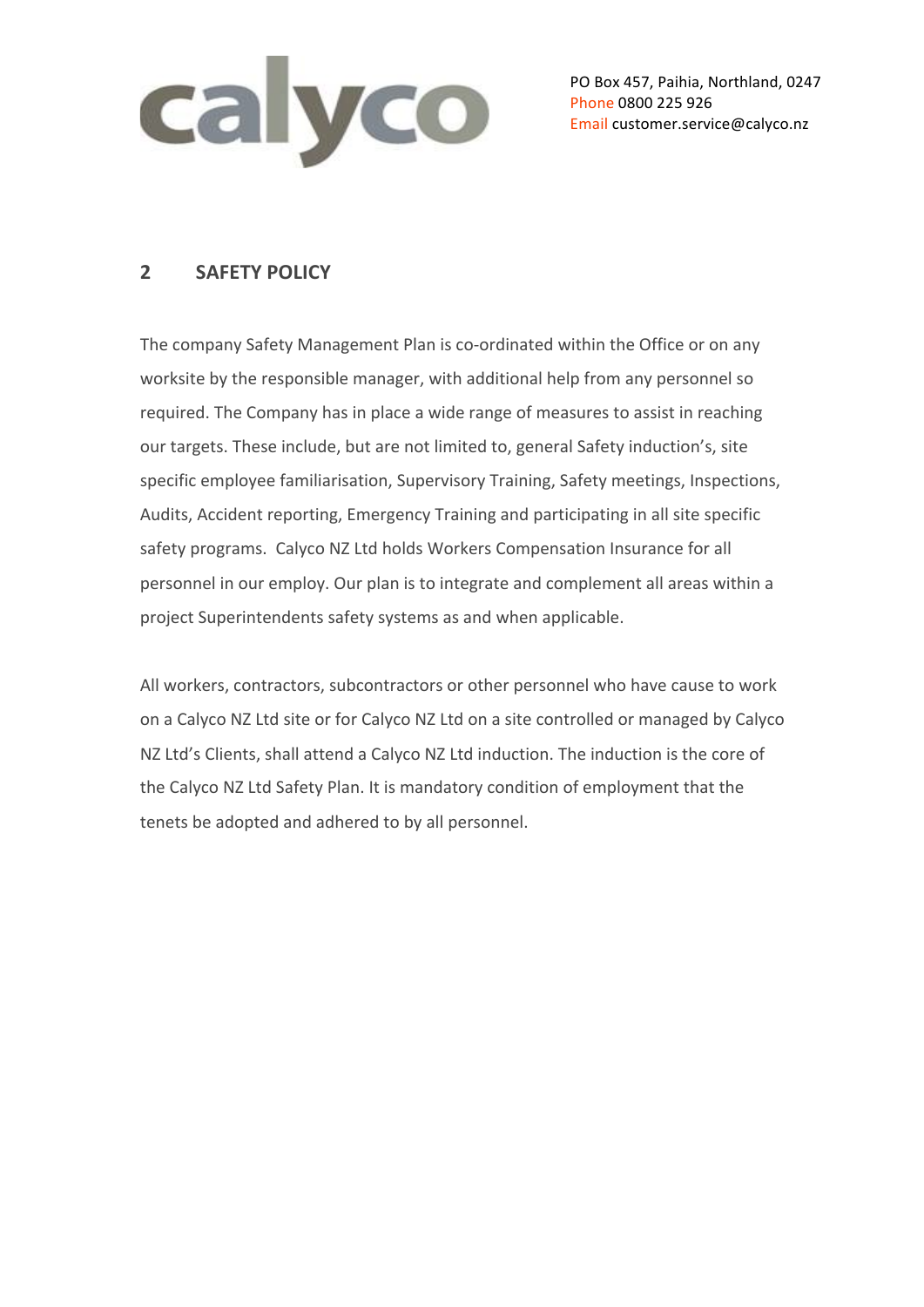

PO Box 457, Paihia, Northland, 0247 Phone 0800 225 926 Email customer.service@calyco.nz

# **2 SAFETY POLICY**

The company Safety Management Plan is co-ordinated within the Office or on any worksite by the responsible manager, with additional help from any personnel so required. The Company has in place a wide range of measures to assist in reaching our targets. These include, but are not limited to, general Safety induction's, site specific employee familiarisation, Supervisory Training, Safety meetings, Inspections, Audits, Accident reporting, Emergency Training and participating in all site specific safety programs. Calyco NZ Ltd holds Workers Compensation Insurance for all personnel in our employ. Our plan is to integrate and complement all areas within a project Superintendents safety systems as and when applicable.

All workers, contractors, subcontractors or other personnel who have cause to work on a Calyco NZ Ltd site or for Calyco NZ Ltd on a site controlled or managed by Calyco NZ Ltd's Clients, shall attend a Calyco NZ Ltd induction. The induction is the core of the Calyco NZ Ltd Safety Plan. It is mandatory condition of employment that the tenets be adopted and adhered to by all personnel.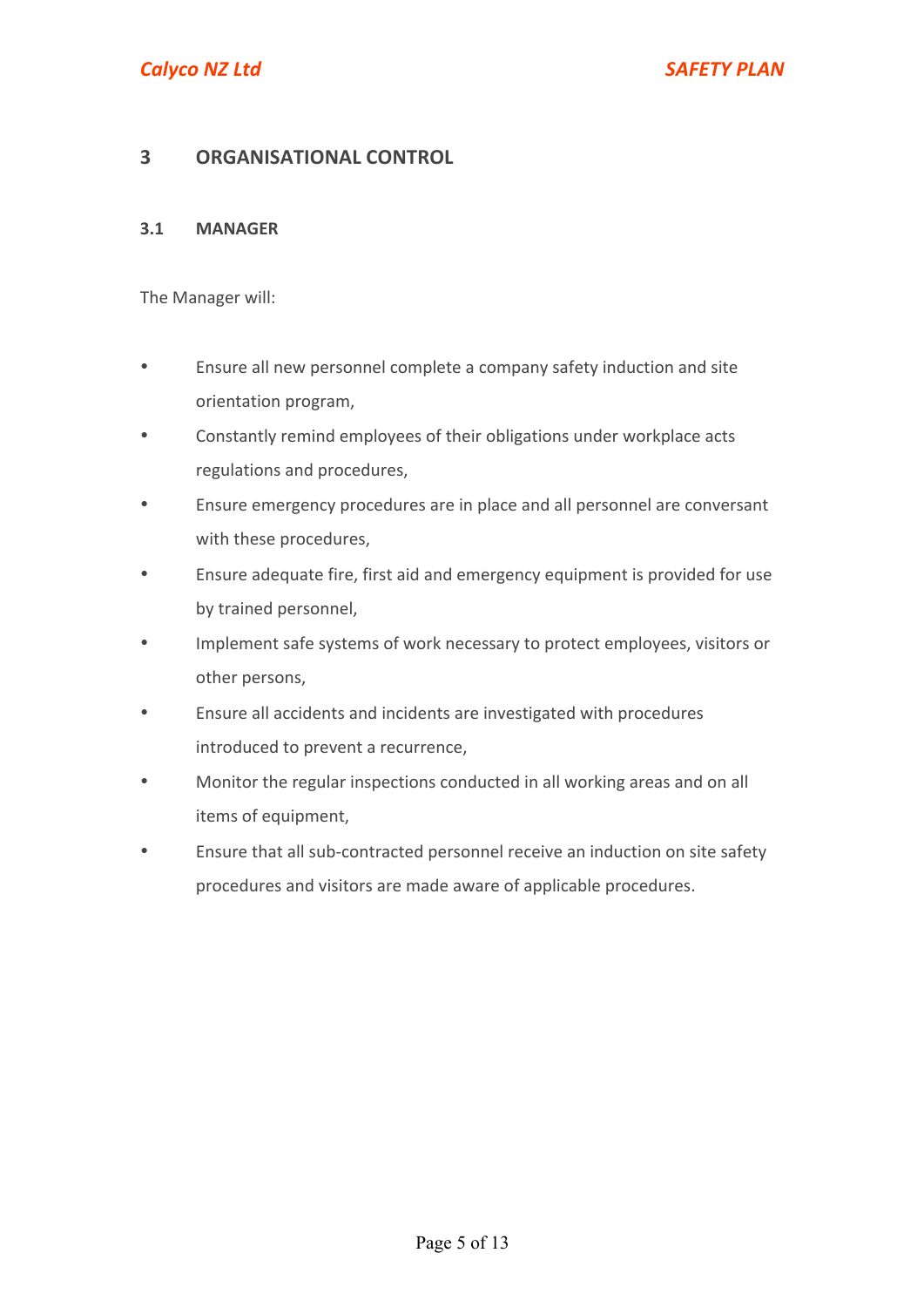# **3 ORGANISATIONAL CONTROL**

#### **3.1 MANAGER**

The Manager will:

- Ensure all new personnel complete a company safety induction and site orientation program,
- Constantly remind employees of their obligations under workplace acts regulations and procedures.
- Ensure emergency procedures are in place and all personnel are conversant with these procedures.
- Ensure adequate fire, first aid and emergency equipment is provided for use by trained personnel,
- Implement safe systems of work necessary to protect employees, visitors or other persons,
- Ensure all accidents and incidents are investigated with procedures introduced to prevent a recurrence,
- Monitor the regular inspections conducted in all working areas and on all items of equipment,
- Ensure that all sub-contracted personnel receive an induction on site safety procedures and visitors are made aware of applicable procedures.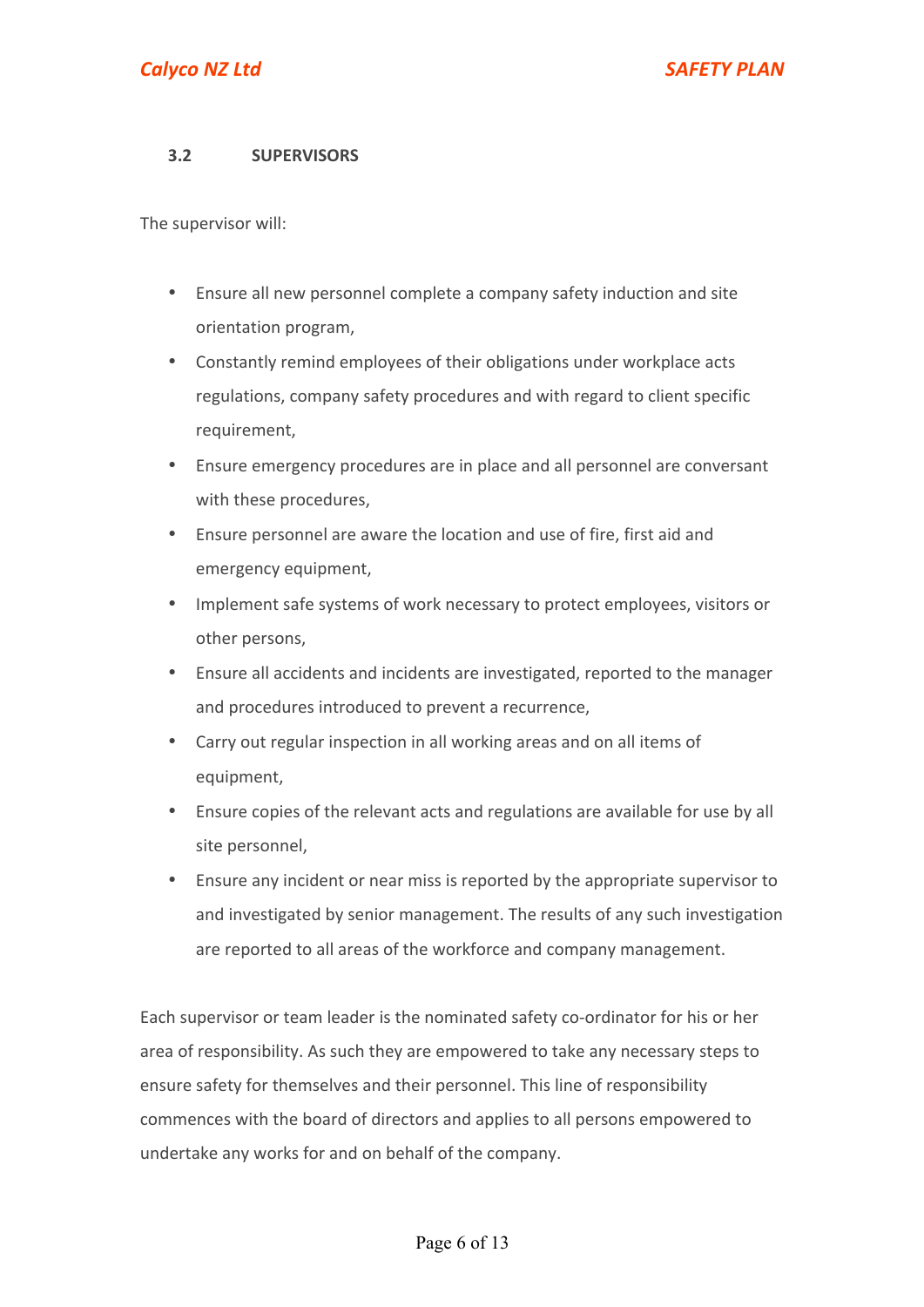## **3.2 SUPERVISORS**

The supervisor will:

- Ensure all new personnel complete a company safety induction and site orientation program,
- Constantly remind employees of their obligations under workplace acts regulations, company safety procedures and with regard to client specific requirement,
- Ensure emergency procedures are in place and all personnel are conversant with these procedures,
- Ensure personnel are aware the location and use of fire, first aid and emergency equipment,
- Implement safe systems of work necessary to protect employees, visitors or other persons.
- Ensure all accidents and incidents are investigated, reported to the manager and procedures introduced to prevent a recurrence,
- Carry out regular inspection in all working areas and on all items of equipment,
- Ensure copies of the relevant acts and regulations are available for use by all site personnel,
- Ensure any incident or near miss is reported by the appropriate supervisor to and investigated by senior management. The results of any such investigation are reported to all areas of the workforce and company management.

Each supervisor or team leader is the nominated safety co-ordinator for his or her area of responsibility. As such they are empowered to take any necessary steps to ensure safety for themselves and their personnel. This line of responsibility commences with the board of directors and applies to all persons empowered to undertake any works for and on behalf of the company.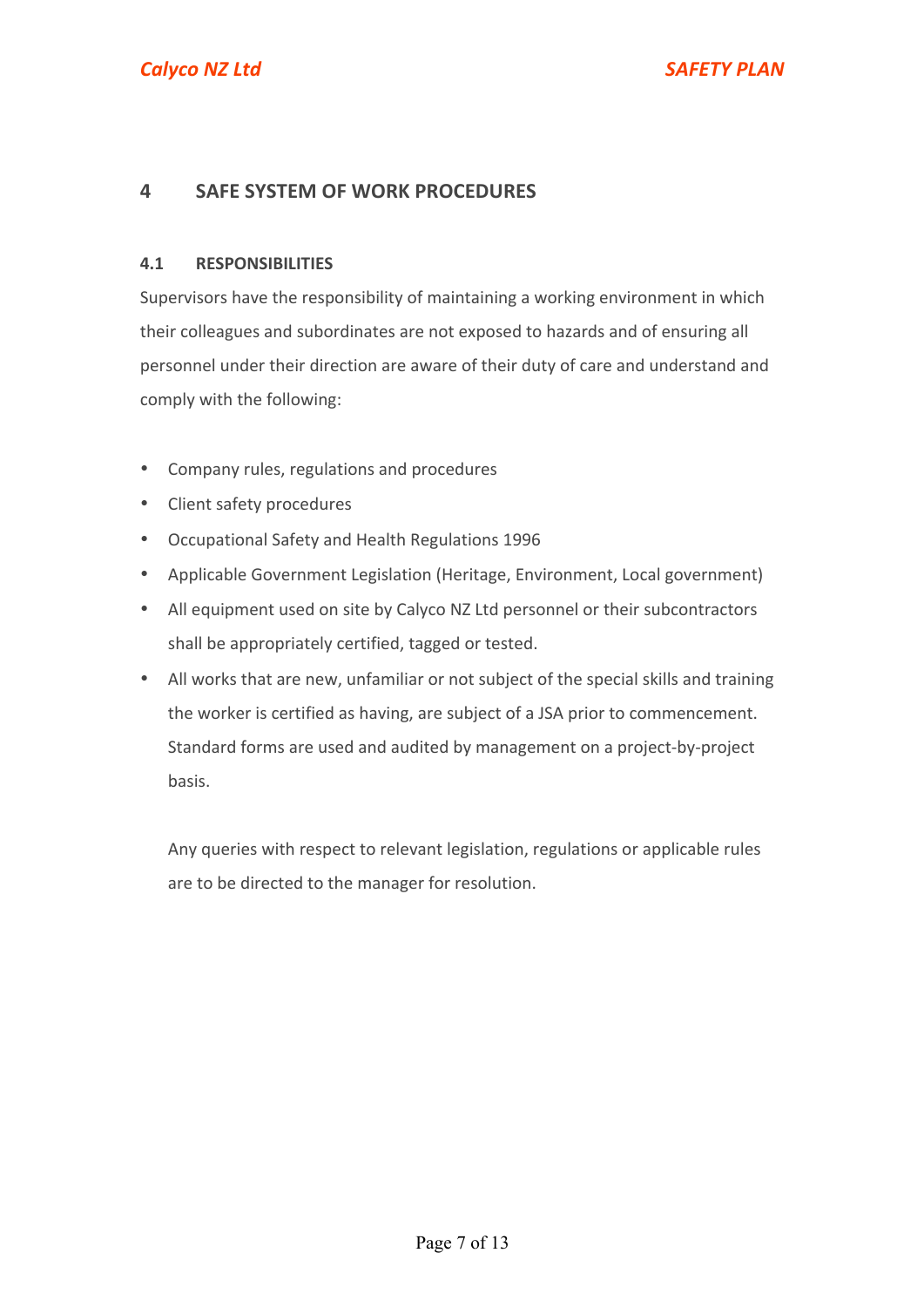# **4 SAFE SYSTEM OF WORK PROCEDURES**

#### **4.1 RESPONSIBILITIES**

Supervisors have the responsibility of maintaining a working environment in which their colleagues and subordinates are not exposed to hazards and of ensuring all personnel under their direction are aware of their duty of care and understand and comply with the following:

- Company rules, regulations and procedures
- Client safety procedures
- Occupational Safety and Health Regulations 1996
- Applicable Government Legislation (Heritage, Environment, Local government)
- All equipment used on site by Calyco NZ Ltd personnel or their subcontractors shall be appropriately certified, tagged or tested.
- All works that are new, unfamiliar or not subject of the special skills and training the worker is certified as having, are subject of a JSA prior to commencement. Standard forms are used and audited by management on a project-by-project basis.

Any queries with respect to relevant legislation, regulations or applicable rules are to be directed to the manager for resolution.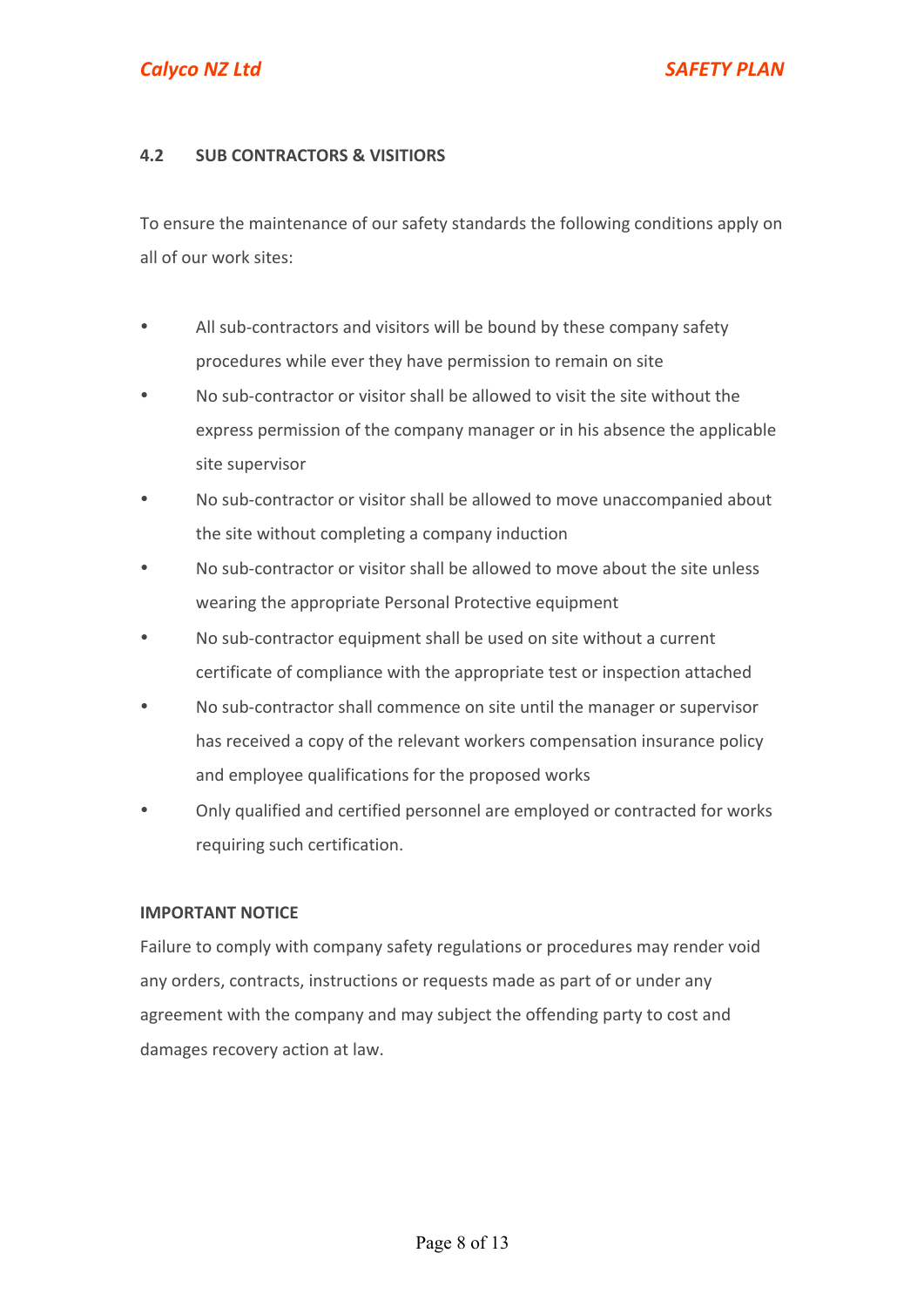## **4.2 SUB CONTRACTORS & VISITIORS**

To ensure the maintenance of our safety standards the following conditions apply on all of our work sites:

- All sub-contractors and visitors will be bound by these company safety procedures while ever they have permission to remain on site
- No sub-contractor or visitor shall be allowed to visit the site without the express permission of the company manager or in his absence the applicable site supervisor
- No sub-contractor or visitor shall be allowed to move unaccompanied about the site without completing a company induction
- No sub-contractor or visitor shall be allowed to move about the site unless wearing the appropriate Personal Protective equipment
- No sub-contractor equipment shall be used on site without a current certificate of compliance with the appropriate test or inspection attached
- No sub-contractor shall commence on site until the manager or supervisor has received a copy of the relevant workers compensation insurance policy and employee qualifications for the proposed works
- Only qualified and certified personnel are employed or contracted for works requiring such certification.

#### **IMPORTANT NOTICE**

Failure to comply with company safety regulations or procedures may render void any orders, contracts, instructions or requests made as part of or under any agreement with the company and may subject the offending party to cost and damages recovery action at law.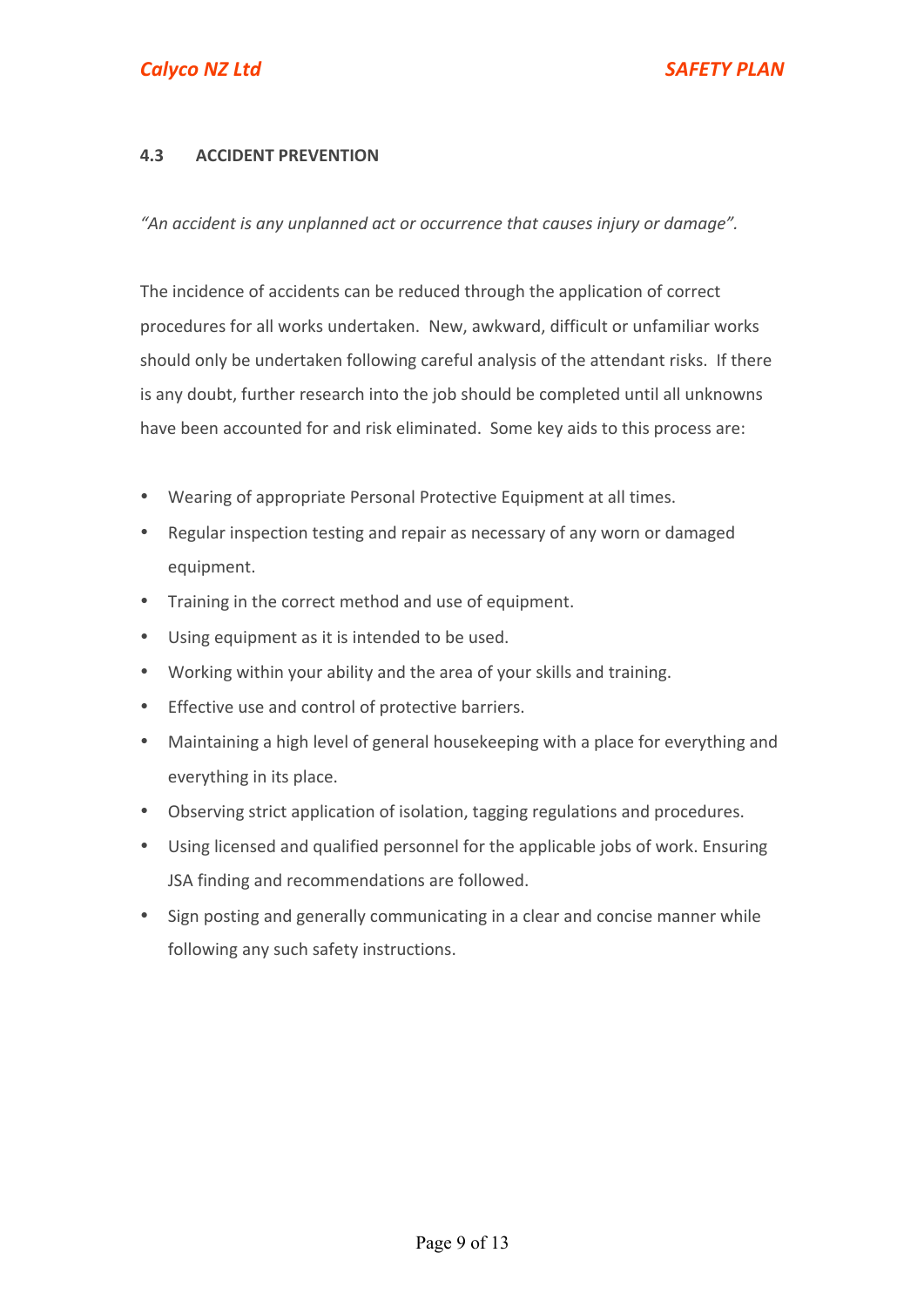# **4.3 ACCIDENT PREVENTION**

"An accident is any unplanned act or occurrence that causes injury or damage".

The incidence of accidents can be reduced through the application of correct procedures for all works undertaken. New, awkward, difficult or unfamiliar works should only be undertaken following careful analysis of the attendant risks. If there is any doubt, further research into the job should be completed until all unknowns have been accounted for and risk eliminated. Some key aids to this process are:

- Wearing of appropriate Personal Protective Equipment at all times.
- Regular inspection testing and repair as necessary of any worn or damaged equipment.
- Training in the correct method and use of equipment.
- Using equipment as it is intended to be used.
- Working within your ability and the area of your skills and training.
- Effective use and control of protective barriers.
- Maintaining a high level of general housekeeping with a place for everything and everything in its place.
- Observing strict application of isolation, tagging regulations and procedures.
- Using licensed and qualified personnel for the applicable jobs of work. Ensuring JSA finding and recommendations are followed.
- Sign posting and generally communicating in a clear and concise manner while following any such safety instructions.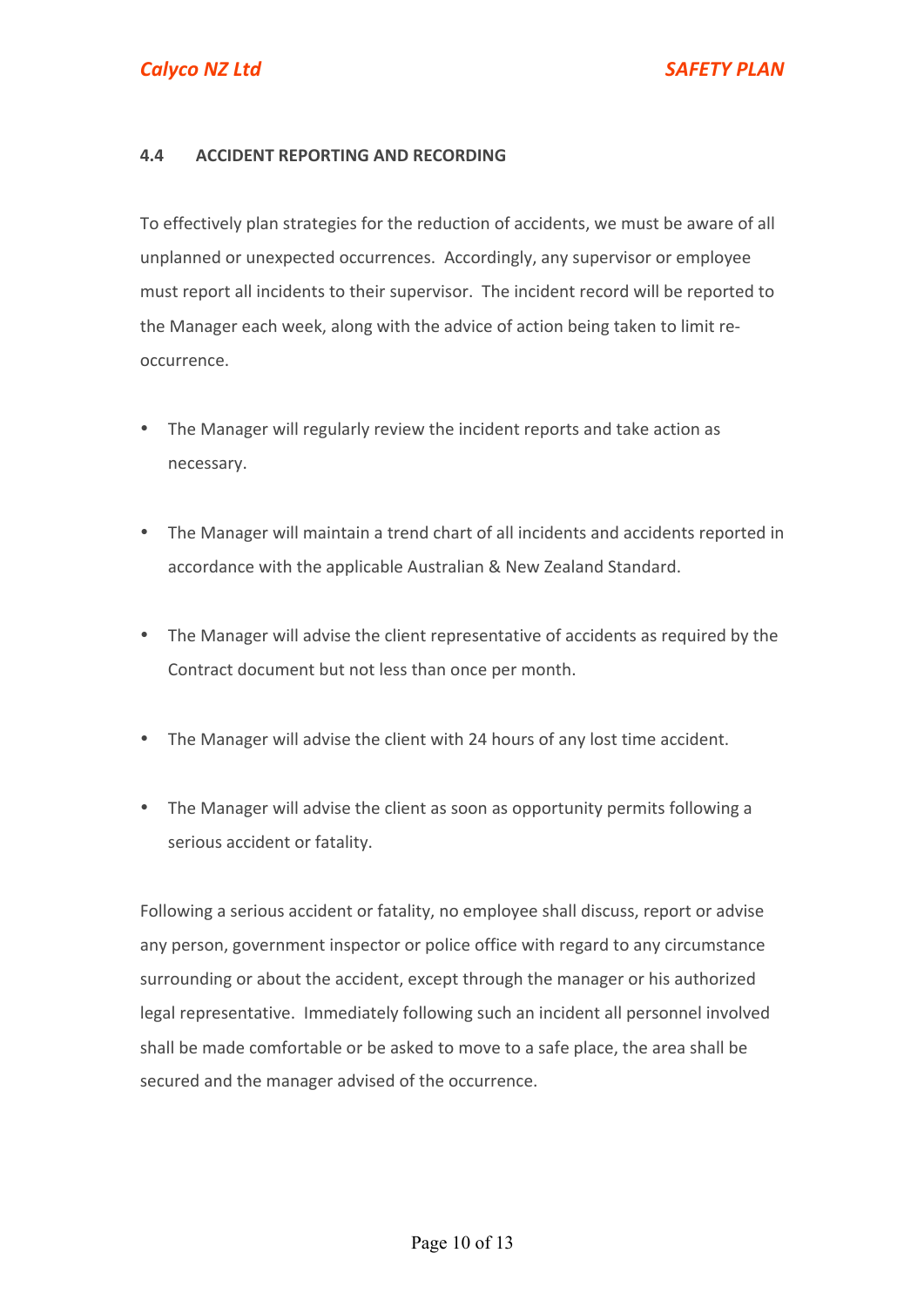## **4.4 ACCIDENT REPORTING AND RECORDING**

To effectively plan strategies for the reduction of accidents, we must be aware of all unplanned or unexpected occurrences. Accordingly, any supervisor or employee must report all incidents to their supervisor. The incident record will be reported to the Manager each week, along with the advice of action being taken to limit reoccurrence.

- The Manager will regularly review the incident reports and take action as necessary.
- The Manager will maintain a trend chart of all incidents and accidents reported in accordance with the applicable Australian & New Zealand Standard.
- The Manager will advise the client representative of accidents as required by the Contract document but not less than once per month.
- The Manager will advise the client with 24 hours of any lost time accident.
- The Manager will advise the client as soon as opportunity permits following a serious accident or fatality.

Following a serious accident or fatality, no employee shall discuss, report or advise any person, government inspector or police office with regard to any circumstance surrounding or about the accident, except through the manager or his authorized legal representative. Immediately following such an incident all personnel involved shall be made comfortable or be asked to move to a safe place, the area shall be secured and the manager advised of the occurrence.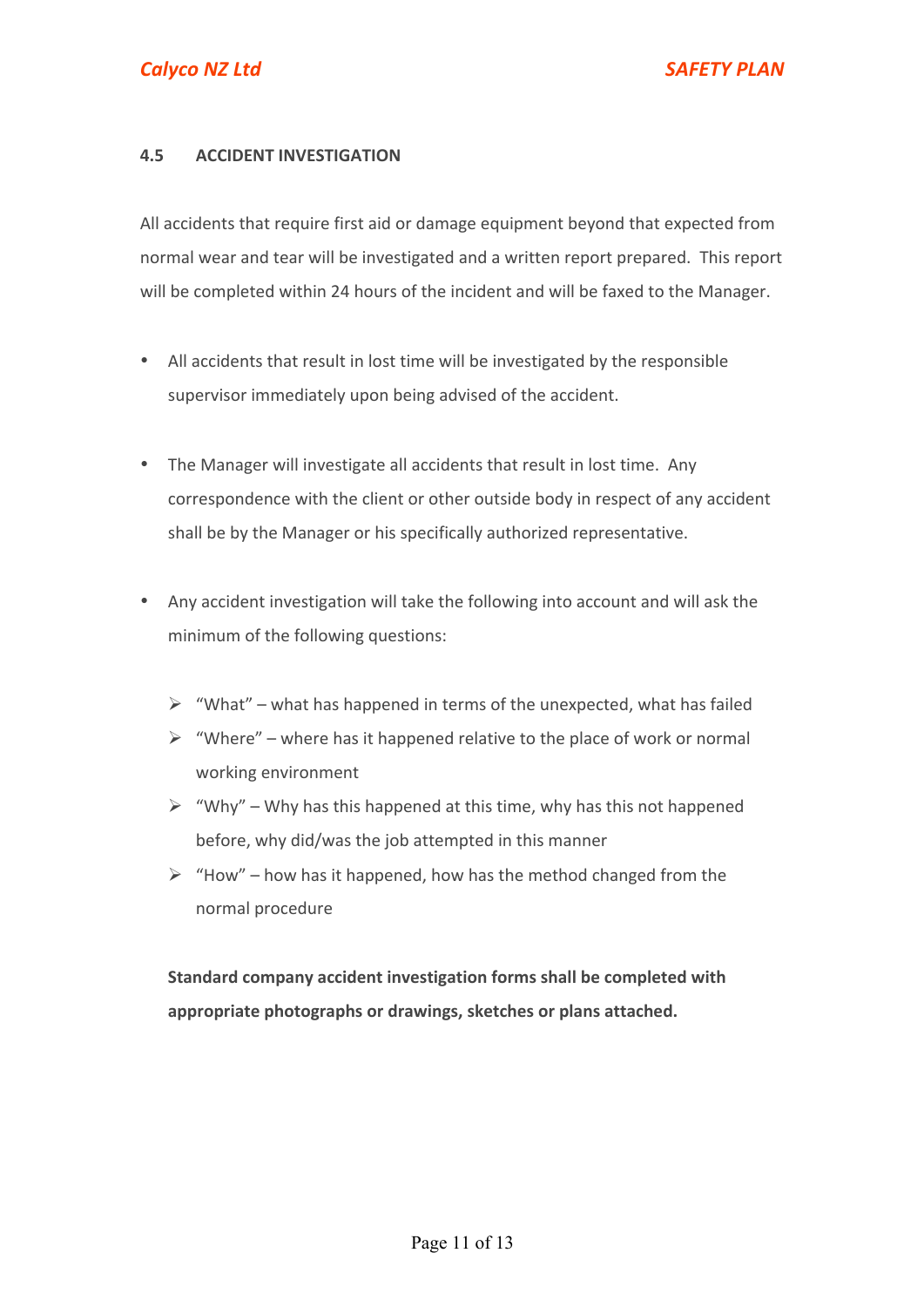## **4.5 ACCIDENT INVESTIGATION**

All accidents that require first aid or damage equipment beyond that expected from normal wear and tear will be investigated and a written report prepared. This report will be completed within 24 hours of the incident and will be faxed to the Manager.

- All accidents that result in lost time will be investigated by the responsible supervisor immediately upon being advised of the accident.
- The Manager will investigate all accidents that result in lost time. Any correspondence with the client or other outside body in respect of any accident shall be by the Manager or his specifically authorized representative.
- Any accident investigation will take the following into account and will ask the minimum of the following questions:
	- $\triangleright$  "What" what has happened in terms of the unexpected, what has failed
	- $\triangleright$  "Where" where has it happened relative to the place of work or normal working environment
	- $\triangleright$  "Why" Why has this happened at this time, why has this not happened before, why did/was the job attempted in this manner
	- $\triangleright$  "How" how has it happened, how has the method changed from the normal procedure

**Standard company accident investigation forms shall be completed with** appropriate photographs or drawings, sketches or plans attached.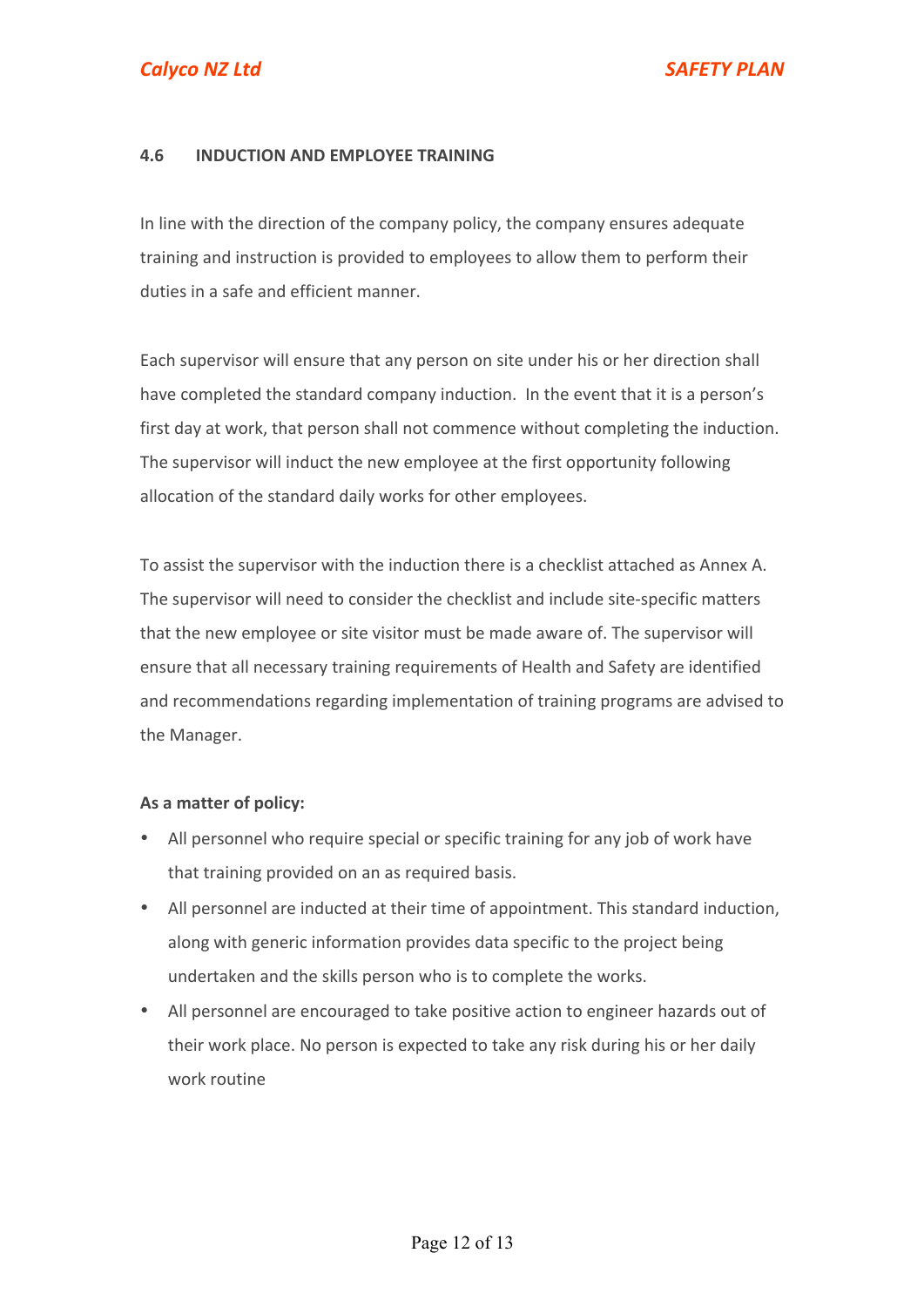## **4.6 INDUCTION AND EMPLOYEE TRAINING**

In line with the direction of the company policy, the company ensures adequate training and instruction is provided to employees to allow them to perform their duties in a safe and efficient manner.

Each supervisor will ensure that any person on site under his or her direction shall have completed the standard company induction. In the event that it is a person's first day at work, that person shall not commence without completing the induction. The supervisor will induct the new employee at the first opportunity following allocation of the standard daily works for other employees.

To assist the supervisor with the induction there is a checklist attached as Annex A. The supervisor will need to consider the checklist and include site-specific matters that the new employee or site visitor must be made aware of. The supervisor will ensure that all necessary training requirements of Health and Safety are identified and recommendations regarding implementation of training programs are advised to the Manager.

#### As a matter of policy:

- All personnel who require special or specific training for any job of work have that training provided on an as required basis.
- All personnel are inducted at their time of appointment. This standard induction, along with generic information provides data specific to the project being undertaken and the skills person who is to complete the works.
- All personnel are encouraged to take positive action to engineer hazards out of their work place. No person is expected to take any risk during his or her daily work routine